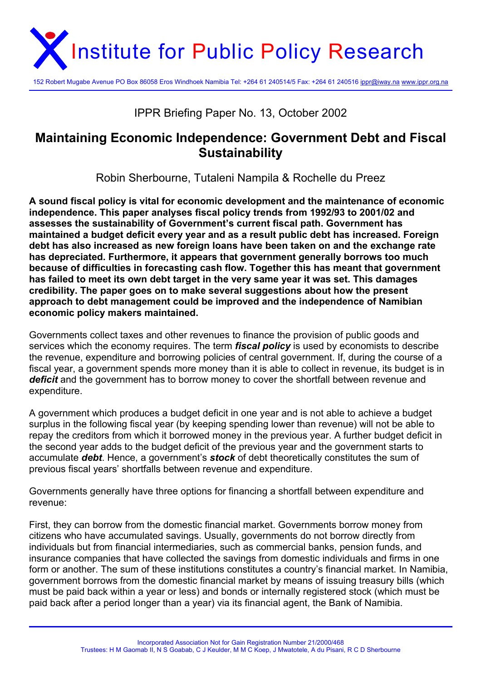

152 Robert Mugabe Avenue PO Box 86058 Eros Windhoek Namibia Tel: +264 61 240514/5 Fax: +264 61 240516 ippr@iway.na www.ippr.org.na

# IPPR Briefing Paper No. 13, October 2002

# **Maintaining Economic Independence: Government Debt and Fiscal Sustainability**

Robin Sherbourne, Tutaleni Nampila & Rochelle du Preez

**A sound fiscal policy is vital for economic development and the maintenance of economic independence. This paper analyses fiscal policy trends from 1992/93 to 2001/02 and assesses the sustainability of Government's current fiscal path. Government has maintained a budget deficit every year and as a result public debt has increased. Foreign debt has also increased as new foreign loans have been taken on and the exchange rate has depreciated. Furthermore, it appears that government generally borrows too much because of difficulties in forecasting cash flow. Together this has meant that government has failed to meet its own debt target in the very same year it was set. This damages credibility. The paper goes on to make several suggestions about how the present approach to debt management could be improved and the independence of Namibian economic policy makers maintained.** 

Governments collect taxes and other revenues to finance the provision of public goods and services which the economy requires. The term *fiscal policy* is used by economists to describe the revenue, expenditure and borrowing policies of central government. If, during the course of a fiscal year, a government spends more money than it is able to collect in revenue, its budget is in *deficit* and the government has to borrow money to cover the shortfall between revenue and expenditure.

A government which produces a budget deficit in one year and is not able to achieve a budget surplus in the following fiscal year (by keeping spending lower than revenue) will not be able to repay the creditors from which it borrowed money in the previous year. A further budget deficit in the second year adds to the budget deficit of the previous year and the government starts to accumulate *debt*. Hence, a government's *stock* of debt theoretically constitutes the sum of previous fiscal years' shortfalls between revenue and expenditure.

Governments generally have three options for financing a shortfall between expenditure and revenue:

First, they can borrow from the domestic financial market. Governments borrow money from citizens who have accumulated savings. Usually, governments do not borrow directly from individuals but from financial intermediaries, such as commercial banks, pension funds, and insurance companies that have collected the savings from domestic individuals and firms in one form or another. The sum of these institutions constitutes a country's financial market. In Namibia, government borrows from the domestic financial market by means of issuing treasury bills (which must be paid back within a year or less) and bonds or internally registered stock (which must be paid back after a period longer than a year) via its financial agent, the Bank of Namibia.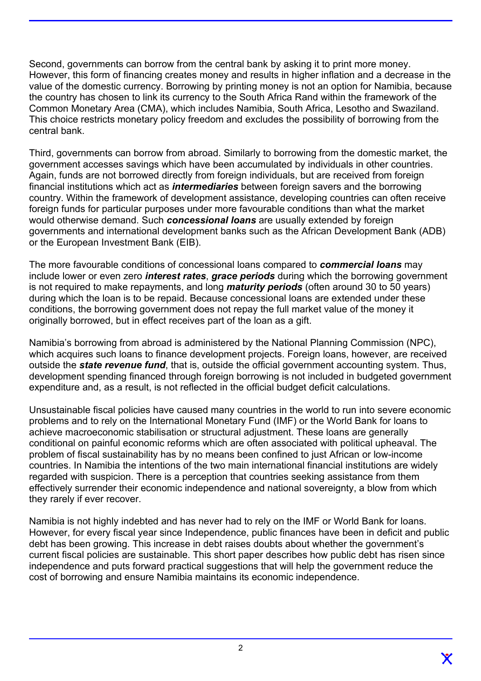Second, governments can borrow from the central bank by asking it to print more money. However, this form of financing creates money and results in higher inflation and a decrease in the value of the domestic currency. Borrowing by printing money is not an option for Namibia, because the country has chosen to link its currency to the South Africa Rand within the framework of the Common Monetary Area (CMA), which includes Namibia, South Africa, Lesotho and Swaziland. This choice restricts monetary policy freedom and excludes the possibility of borrowing from the central bank.

Third, governments can borrow from abroad. Similarly to borrowing from the domestic market, the government accesses savings which have been accumulated by individuals in other countries. Again, funds are not borrowed directly from foreign individuals, but are received from foreign financial institutions which act as *intermediaries* between foreign savers and the borrowing country. Within the framework of development assistance, developing countries can often receive foreign funds for particular purposes under more favourable conditions than what the market would otherwise demand. Such *concessional loans* are usually extended by foreign governments and international development banks such as the African Development Bank (ADB) or the European Investment Bank (EIB).

The more favourable conditions of concessional loans compared to *commercial loans* may include lower or even zero *interest rates*, *grace periods* during which the borrowing government is not required to make repayments, and long *maturity periods* (often around 30 to 50 years) during which the loan is to be repaid. Because concessional loans are extended under these conditions, the borrowing government does not repay the full market value of the money it originally borrowed, but in effect receives part of the loan as a gift.

Namibia's borrowing from abroad is administered by the National Planning Commission (NPC), which acquires such loans to finance development projects. Foreign loans, however, are received outside the *state revenue fund*, that is, outside the official government accounting system. Thus, development spending financed through foreign borrowing is not included in budgeted government expenditure and, as a result, is not reflected in the official budget deficit calculations.

Unsustainable fiscal policies have caused many countries in the world to run into severe economic problems and to rely on the International Monetary Fund (IMF) or the World Bank for loans to achieve macroeconomic stabilisation or structural adjustment. These loans are generally conditional on painful economic reforms which are often associated with political upheaval. The problem of fiscal sustainability has by no means been confined to just African or low-income countries. In Namibia the intentions of the two main international financial institutions are widely regarded with suspicion. There is a perception that countries seeking assistance from them effectively surrender their economic independence and national sovereignty, a blow from which they rarely if ever recover.

Namibia is not highly indebted and has never had to rely on the IMF or World Bank for loans. However, for every fiscal year since Independence, public finances have been in deficit and public debt has been growing. This increase in debt raises doubts about whether the government's current fiscal policies are sustainable. This short paper describes how public debt has risen since independence and puts forward practical suggestions that will help the government reduce the cost of borrowing and ensure Namibia maintains its economic independence.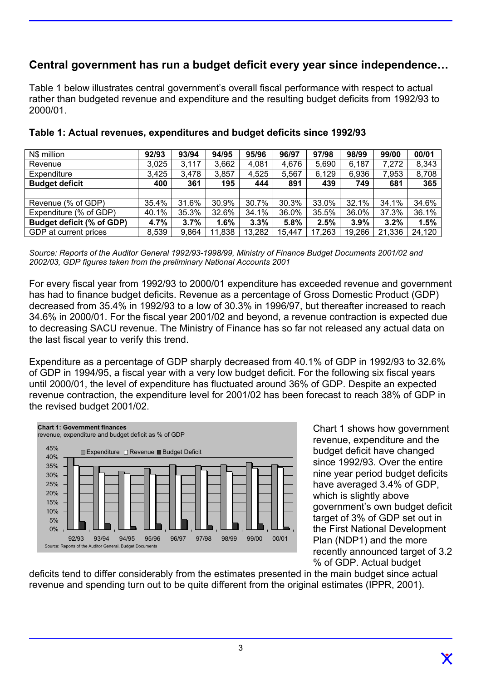# **Central government has run a budget deficit every year since independence…**

Table 1 below illustrates central government's overall fiscal performance with respect to actual rather than budgeted revenue and expenditure and the resulting budget deficits from 1992/93 to 2000/01.

| N\$ million               | 92/93 | 93/94 | 94/95  | 95/96  | 96/97  | 97/98  | 98/99  | 99/00  | 00/01  |
|---------------------------|-------|-------|--------|--------|--------|--------|--------|--------|--------|
| Revenue                   | 3,025 | 3,117 | 3,662  | 4,081  | 4,676  | 5,690  | 6,187  | 7,272  | 8,343  |
| Expenditure               | 3,425 | 3,478 | 3,857  | 4,525  | 5,567  | 6,129  | 6,936  | 7,953  | 8,708  |
| <b>Budget deficit</b>     | 400   | 361   | 195    | 444    | 891    | 439    | 749    | 681    | 365    |
|                           |       |       |        |        |        |        |        |        |        |
| Revenue (% of GDP)        | 35.4% | 31.6% | 30.9%  | 30.7%  | 30.3%  | 33.0%  | 32.1%  | 34.1%  | 34.6%  |
| Expenditure (% of GDP)    | 40.1% | 35.3% | 32.6%  | 34.1%  | 36.0%  | 35.5%  | 36.0%  | 37.3%  | 36.1%  |
| Budget deficit (% of GDP) | 4.7%  | 3.7%  | 1.6%   | 3.3%   | 5.8%   | 2.5%   | 3.9%   | 3.2%   | 1.5%   |
| GDP at current prices     | 8,539 | 9,864 | 11,838 | 13,282 | 15,447 | 17,263 | 19,266 | 21,336 | 24,120 |

#### **Table 1: Actual revenues, expenditures and budget deficits since 1992/93**

*Source: Reports of the Auditor General 1992/93-1998/99, Ministry of Finance Budget Documents 2001/02 and 2002/03, GDP figures taken from the preliminary National Accounts 2001* 

For every fiscal year from 1992/93 to 2000/01 expenditure has exceeded revenue and government has had to finance budget deficits. Revenue as a percentage of Gross Domestic Product (GDP) decreased from 35.4% in 1992/93 to a low of 30.3% in 1996/97, but thereafter increased to reach 34.6% in 2000/01. For the fiscal year 2001/02 and beyond, a revenue contraction is expected due to decreasing SACU revenue. The Ministry of Finance has so far not released any actual data on the last fiscal year to verify this trend.

Expenditure as a percentage of GDP sharply decreased from 40.1% of GDP in 1992/93 to 32.6% of GDP in 1994/95, a fiscal year with a very low budget deficit. For the following six fiscal years until 2000/01, the level of expenditure has fluctuated around 36% of GDP. Despite an expected revenue contraction, the expenditure level for 2001/02 has been forecast to reach 38% of GDP in the revised budget 2001/02.



Chart 1 shows how government revenue, expenditure and the budget deficit have changed since 1992/93. Over the entire nine year period budget deficits have averaged 3.4% of GDP, which is slightly above government's own budget deficit target of 3% of GDP set out in the First National Development Plan (NDP1) and the more recently announced target of 3.2 % of GDP. Actual budget

deficits tend to differ considerably from the estimates presented in the main budget since actual revenue and spending turn out to be quite different from the original estimates (IPPR, 2001).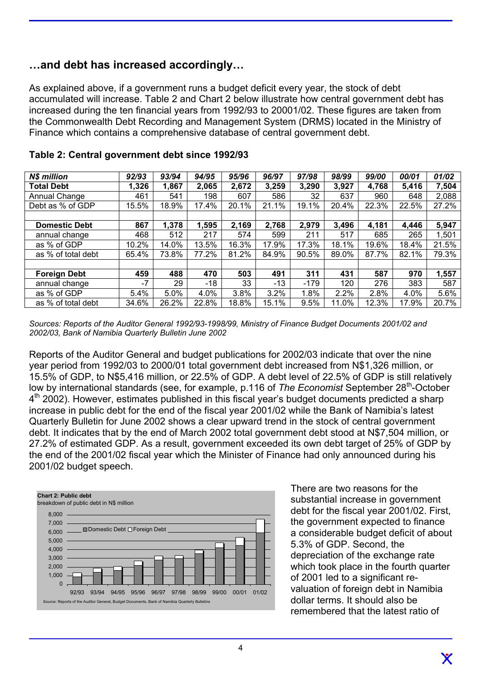### **…and debt has increased accordingly…**

As explained above, if a government runs a budget deficit every year, the stock of debt accumulated will increase. Table 2 and Chart 2 below illustrate how central government debt has increased during the ten financial years from 1992/93 to 20001/02. These figures are taken from the Commonwealth Debt Recording and Management System (DRMS) located in the Ministry of Finance which contains a comprehensive database of central government debt.

| <b>N\$ million</b>   | 92/93 | 93/94 | 94/95 | 95/96 | 96/97 | 97/98  | 98/99 | 99/00 | 00/01 | 01/02 |
|----------------------|-------|-------|-------|-------|-------|--------|-------|-------|-------|-------|
| <b>Total Debt</b>    | 1,326 | 1,867 | 2,065 | 2,672 | 3,259 | 3,290  | 3,927 | 4,768 | 5,416 | 7,504 |
| Annual Change        | 461   | 541   | 198   | 607   | 586   | 32     | 637   | 960   | 648   | 2,088 |
| Debt as % of GDP     | 15.5% | 18.9% | 17.4% | 20.1% | 21.1% | 19.1%  | 20.4% | 22.3% | 22.5% | 27.2% |
|                      |       |       |       |       |       |        |       |       |       |       |
| <b>Domestic Debt</b> | 867   | 1,378 | 1,595 | 2,169 | 2,768 | 2,979  | 3,496 | 4,181 | 4,446 | 5,947 |
| annual change        | 468   | 512   | 217   | 574   | 599   | 211    | 517   | 685   | 265   | 1,501 |
| as % of GDP          | 10.2% | 14.0% | 13.5% | 16.3% | 17.9% | 17.3%  | 18.1% | 19.6% | 18.4% | 21.5% |
| as % of total debt   | 65.4% | 73.8% | 77.2% | 81.2% | 84.9% | 90.5%  | 89.0% | 87.7% | 82.1% | 79.3% |
|                      |       |       |       |       |       |        |       |       |       |       |
| <b>Foreign Debt</b>  | 459   | 488   | 470   | 503   | 491   | 311    | 431   | 587   | 970   | 1,557 |
| annual change        | $-7$  | 29    | -18   | 33    | $-13$ | $-179$ | 120   | 276   | 383   | 587   |
| as % of GDP          | 5.4%  | 5.0%  | 4.0%  | 3.8%  | 3.2%  | 1.8%   | 2.2%  | 2.8%  | 4.0%  | 5.6%  |
| as % of total debt   | 34.6% | 26.2% | 22.8% | 18.8% | 15.1% | 9.5%   | 11.0% | 12.3% | 17.9% | 20.7% |

|  | Table 2: Central government debt since 1992/93 |  |  |
|--|------------------------------------------------|--|--|
|  |                                                |  |  |

*Sources: Reports of the Auditor General 1992/93-1998/99, Ministry of Finance Budget Documents 2001/02 and 2002/03, Bank of Namibia Quarterly Bulletin June 2002* 

Reports of the Auditor General and budget publications for 2002/03 indicate that over the nine year period from 1992/03 to 2000/01 total government debt increased from N\$1,326 million, or 15.5% of GDP, to N\$5,416 million, or 22.5% of GDP. A debt level of 22.5% of GDP is still relatively low by international standards (see, for example, p.116 of *The Economist* September 28<sup>th</sup>-October  $4<sup>th</sup>$  2002). However, estimates published in this fiscal year's budget documents predicted a sharp increase in public debt for the end of the fiscal year 2001/02 while the Bank of Namibia's latest Quarterly Bulletin for June 2002 shows a clear upward trend in the stock of central government debt. It indicates that by the end of March 2002 total government debt stood at N\$7,504 million, or 27.2% of estimated GDP. As a result, government exceeded its own debt target of 25% of GDP by the end of the 2001/02 fiscal year which the Minister of Finance had only announced during his 2001/02 budget speech.



There are two reasons for the substantial increase in government debt for the fiscal year 2001/02. First, the government expected to finance a considerable budget deficit of about 5.3% of GDP. Second, the depreciation of the exchange rate which took place in the fourth quarter of 2001 led to a significant revaluation of foreign debt in Namibia dollar terms. It should also be remembered that the latest ratio of

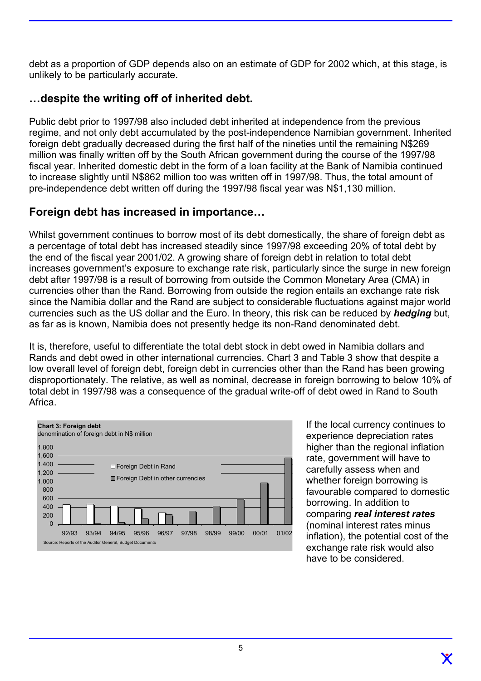debt as a proportion of GDP depends also on an estimate of GDP for 2002 which, at this stage, is unlikely to be particularly accurate.

# **…despite the writing off of inherited debt.**

Public debt prior to 1997/98 also included debt inherited at independence from the previous regime, and not only debt accumulated by the post-independence Namibian government. Inherited foreign debt gradually decreased during the first half of the nineties until the remaining N\$269 million was finally written off by the South African government during the course of the 1997/98 fiscal year. Inherited domestic debt in the form of a loan facility at the Bank of Namibia continued to increase slightly until N\$862 million too was written off in 1997/98. Thus, the total amount of pre-independence debt written off during the 1997/98 fiscal year was N\$1,130 million.

# **Foreign debt has increased in importance…**

Whilst government continues to borrow most of its debt domestically, the share of foreign debt as a percentage of total debt has increased steadily since 1997/98 exceeding 20% of total debt by the end of the fiscal year 2001/02. A growing share of foreign debt in relation to total debt increases government's exposure to exchange rate risk, particularly since the surge in new foreign debt after 1997/98 is a result of borrowing from outside the Common Monetary Area (CMA) in currencies other than the Rand. Borrowing from outside the region entails an exchange rate risk since the Namibia dollar and the Rand are subject to considerable fluctuations against major world currencies such as the US dollar and the Euro. In theory, this risk can be reduced by *hedging* but, as far as is known, Namibia does not presently hedge its non-Rand denominated debt.

It is, therefore, useful to differentiate the total debt stock in debt owed in Namibia dollars and Rands and debt owed in other international currencies. Chart 3 and Table 3 show that despite a low overall level of foreign debt, foreign debt in currencies other than the Rand has been growing disproportionately. The relative, as well as nominal, decrease in foreign borrowing to below 10% of total debt in 1997/98 was a consequence of the gradual write-off of debt owed in Rand to South Africa.



If the local currency continues to experience depreciation rates higher than the regional inflation rate, government will have to carefully assess when and whether foreign borrowing is favourable compared to domestic borrowing. In addition to comparing *real interest rates* (nominal interest rates minus inflation), the potential cost of the exchange rate risk would also have to be considered.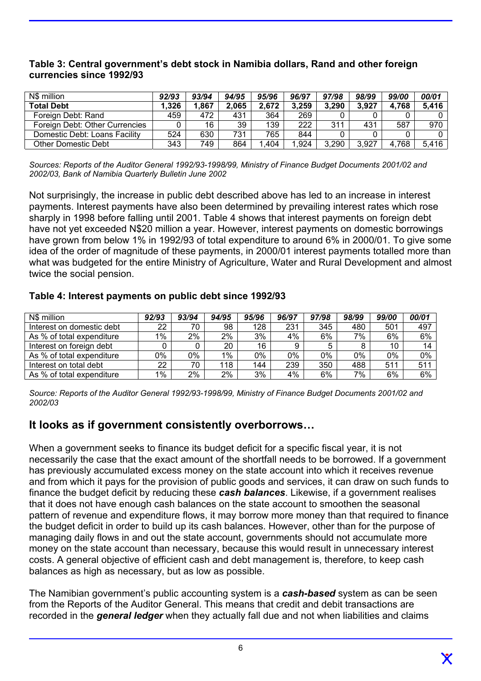| N\$ million                    | 92/93 | 93/94 | 94/95 | 95/96 | 96/97 | 97/98 | 98/99 | 99/00 | 00/01 |
|--------------------------------|-------|-------|-------|-------|-------|-------|-------|-------|-------|
| <b>Total Debt</b>              | 1,326 | .867  | 2,065 | 2,672 | 3.259 | 3,290 | 3.927 | 4.768 | 5,416 |
| Foreign Debt: Rand             | 459   | 472   | 431   | 364   | 269   |       |       |       |       |
| Foreign Debt: Other Currencies |       | 16    | 39    | 139   | 222   | 311   | 431   | 587   | 970   |
| Domestic Debt: Loans Facility  | 524   | 630   | 731   | 765   | 844   |       |       |       |       |
| Other Domestic Debt            | 343   | 749   | 864   | .404  | .924  | 3,290 | 3.927 | 4.768 | 5.416 |

#### **Table 3: Central government's debt stock in Namibia dollars, Rand and other foreign currencies since 1992/93**

*Sources: Reports of the Auditor General 1992/93-1998/99, Ministry of Finance Budget Documents 2001/02 and 2002/03, Bank of Namibia Quarterly Bulletin June 2002*

Not surprisingly, the increase in public debt described above has led to an increase in interest payments. Interest payments have also been determined by prevailing interest rates which rose sharply in 1998 before falling until 2001. Table 4 shows that interest payments on foreign debt have not yet exceeded N\$20 million a year. However, interest payments on domestic borrowings have grown from below 1% in 1992/93 of total expenditure to around 6% in 2000/01. To give some idea of the order of magnitude of these payments, in 2000/01 interest payments totalled more than what was budgeted for the entire Ministry of Agriculture, Water and Rural Development and almost twice the social pension.

#### **Table 4: Interest payments on public debt since 1992/93**

| N\$ million               | 92/93 | 93/94 | 94/95 | 95/96 | 96/97 | 97/98 | 98/99 | 99/00 | 00/01 |
|---------------------------|-------|-------|-------|-------|-------|-------|-------|-------|-------|
| Interest on domestic debt | 22    | 70    | 98    | 128   | 231   | 345   | 480   | 501   | 497   |
| As % of total expenditure | 1%    | 2%    | 2%    | 3%    | 4%    | 6%    | 7%    | 6%    | 6%    |
| Interest on foreign debt  |       |       | 20    | 16    | 9     |       |       | 10    | 14    |
| As % of total expenditure | 0%    | 0%    | $1\%$ | 0%    | 0%    | 0%    | $0\%$ | 0%    | 0%    |
| Interest on total debt    | 22    | 70    | 118   | 144   | 239   | 350   | 488   | 511   | 511   |
| As % of total expenditure | $1\%$ | 2%    | 2%    | 3%    | 4%    | 6%    | 7%    | 6%    | $6\%$ |

*Source: Reports of the Auditor General 1992/93-1998/99, Ministry of Finance Budget Documents 2001/02 and 2002/03*

## **It looks as if government consistently overborrows…**

When a government seeks to finance its budget deficit for a specific fiscal year, it is not necessarily the case that the exact amount of the shortfall needs to be borrowed. If a government has previously accumulated excess money on the state account into which it receives revenue and from which it pays for the provision of public goods and services, it can draw on such funds to finance the budget deficit by reducing these *cash balances*. Likewise, if a government realises that it does not have enough cash balances on the state account to smoothen the seasonal pattern of revenue and expenditure flows, it may borrow more money than that required to finance the budget deficit in order to build up its cash balances. However, other than for the purpose of managing daily flows in and out the state account, governments should not accumulate more money on the state account than necessary, because this would result in unnecessary interest costs. A general objective of efficient cash and debt management is, therefore, to keep cash balances as high as necessary, but as low as possible.

The Namibian government's public accounting system is a *cash-based* system as can be seen from the Reports of the Auditor General. This means that credit and debit transactions are recorded in the *general ledger* when they actually fall due and not when liabilities and claims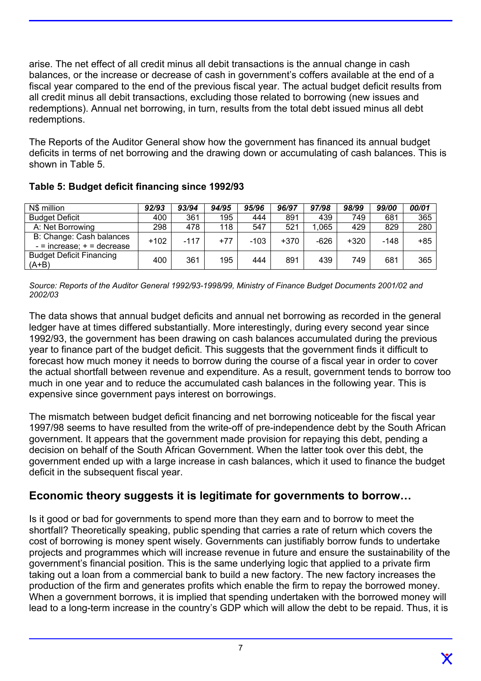arise. The net effect of all credit minus all debit transactions is the annual change in cash balances, or the increase or decrease of cash in government's coffers available at the end of a fiscal year compared to the end of the previous fiscal year. The actual budget deficit results from all credit minus all debit transactions, excluding those related to borrowing (new issues and redemptions). Annual net borrowing, in turn, results from the total debt issued minus all debt redemptions.

The Reports of the Auditor General show how the government has financed its annual budget deficits in terms of net borrowing and the drawing down or accumulating of cash balances. This is shown in Table 5.

| N\$ million                                                | 92/93  | 93/94  | 94/95 | 95/96  | 96/97  | 97/98  | 98/99  | 99/00 | 00/01 |
|------------------------------------------------------------|--------|--------|-------|--------|--------|--------|--------|-------|-------|
| <b>Budget Deficit</b>                                      | 400    | 361    | 195   | 444    | 891    | 439    | 749    | 681   | 365   |
| A: Net Borrowing                                           | 298    | 478    | 118   | 547    | 521    | .065   | 429    | 829   | 280   |
| B: Change: Cash balances<br>$-$ = increase; $+$ = decrease | $+102$ | $-117$ | $+77$ | $-103$ | $+370$ | $-626$ | $+320$ | -148  | +85   |
| <b>Budget Deficit Financing</b><br>$(A+B)$                 | 400    | 361    | 195   | 444    | 891    | 439    | 749    | 681   | 365   |

**Table 5: Budget deficit financing since 1992/93** 

*Source: Reports of the Auditor General 1992/93-1998/99, Ministry of Finance Budget Documents 2001/02 and 2002/03*

The data shows that annual budget deficits and annual net borrowing as recorded in the general ledger have at times differed substantially. More interestingly, during every second year since 1992/93, the government has been drawing on cash balances accumulated during the previous year to finance part of the budget deficit. This suggests that the government finds it difficult to forecast how much money it needs to borrow during the course of a fiscal year in order to cover the actual shortfall between revenue and expenditure. As a result, government tends to borrow too much in one year and to reduce the accumulated cash balances in the following year. This is expensive since government pays interest on borrowings.

The mismatch between budget deficit financing and net borrowing noticeable for the fiscal year 1997/98 seems to have resulted from the write-off of pre-independence debt by the South African government. It appears that the government made provision for repaying this debt, pending a decision on behalf of the South African Government. When the latter took over this debt, the government ended up with a large increase in cash balances, which it used to finance the budget deficit in the subsequent fiscal year.

## **Economic theory suggests it is legitimate for governments to borrow…**

Is it good or bad for governments to spend more than they earn and to borrow to meet the shortfall? Theoretically speaking, public spending that carries a rate of return which covers the cost of borrowing is money spent wisely. Governments can justifiably borrow funds to undertake projects and programmes which will increase revenue in future and ensure the sustainability of the government's financial position. This is the same underlying logic that applied to a private firm taking out a loan from a commercial bank to build a new factory. The new factory increases the production of the firm and generates profits which enable the firm to repay the borrowed money. When a government borrows, it is implied that spending undertaken with the borrowed money will lead to a long-term increase in the country's GDP which will allow the debt to be repaid. Thus, it is

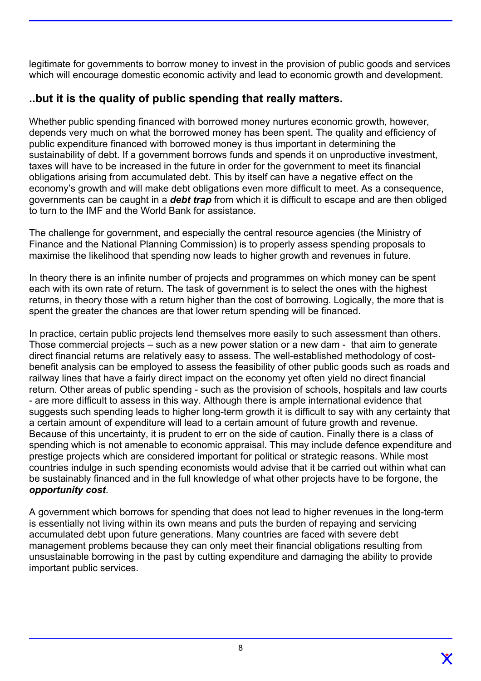legitimate for governments to borrow money to invest in the provision of public goods and services which will encourage domestic economic activity and lead to economic growth and development.

# **..but it is the quality of public spending that really matters.**

Whether public spending financed with borrowed money nurtures economic growth, however, depends very much on what the borrowed money has been spent. The quality and efficiency of public expenditure financed with borrowed money is thus important in determining the sustainability of debt. If a government borrows funds and spends it on unproductive investment, taxes will have to be increased in the future in order for the government to meet its financial obligations arising from accumulated debt. This by itself can have a negative effect on the economy's growth and will make debt obligations even more difficult to meet. As a consequence, governments can be caught in a *debt trap* from which it is difficult to escape and are then obliged to turn to the IMF and the World Bank for assistance.

The challenge for government, and especially the central resource agencies (the Ministry of Finance and the National Planning Commission) is to properly assess spending proposals to maximise the likelihood that spending now leads to higher growth and revenues in future.

In theory there is an infinite number of projects and programmes on which money can be spent each with its own rate of return. The task of government is to select the ones with the highest returns, in theory those with a return higher than the cost of borrowing. Logically, the more that is spent the greater the chances are that lower return spending will be financed.

In practice, certain public projects lend themselves more easily to such assessment than others. Those commercial projects – such as a new power station or a new dam - that aim to generate direct financial returns are relatively easy to assess. The well-established methodology of costbenefit analysis can be employed to assess the feasibility of other public goods such as roads and railway lines that have a fairly direct impact on the economy yet often yield no direct financial return. Other areas of public spending - such as the provision of schools, hospitals and law courts - are more difficult to assess in this way. Although there is ample international evidence that suggests such spending leads to higher long-term growth it is difficult to say with any certainty that a certain amount of expenditure will lead to a certain amount of future growth and revenue. Because of this uncertainty, it is prudent to err on the side of caution. Finally there is a class of spending which is not amenable to economic appraisal. This may include defence expenditure and prestige projects which are considered important for political or strategic reasons. While most countries indulge in such spending economists would advise that it be carried out within what can be sustainably financed and in the full knowledge of what other projects have to be forgone, the *opportunity cost*.

A government which borrows for spending that does not lead to higher revenues in the long-term is essentially not living within its own means and puts the burden of repaying and servicing accumulated debt upon future generations. Many countries are faced with severe debt management problems because they can only meet their financial obligations resulting from unsustainable borrowing in the past by cutting expenditure and damaging the ability to provide important public services.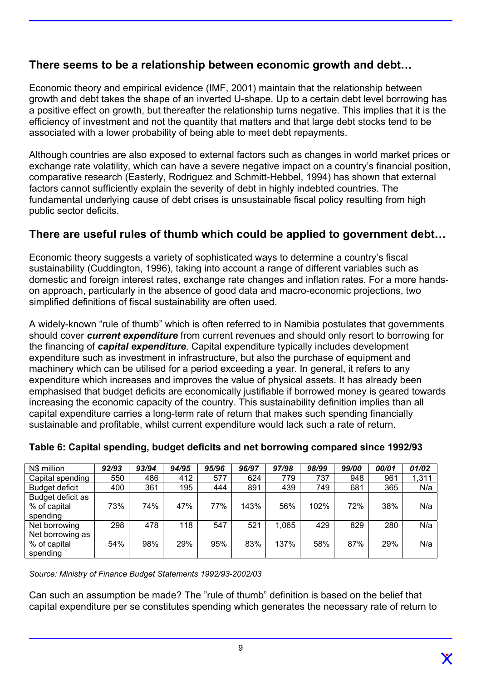# **There seems to be a relationship between economic growth and debt…**

Economic theory and empirical evidence (IMF, 2001) maintain that the relationship between growth and debt takes the shape of an inverted U-shape. Up to a certain debt level borrowing has a positive effect on growth, but thereafter the relationship turns negative. This implies that it is the efficiency of investment and not the quantity that matters and that large debt stocks tend to be associated with a lower probability of being able to meet debt repayments.

Although countries are also exposed to external factors such as changes in world market prices or exchange rate volatility, which can have a severe negative impact on a country's financial position, comparative research (Easterly, Rodriguez and Schmitt-Hebbel, 1994) has shown that external factors cannot sufficiently explain the severity of debt in highly indebted countries. The fundamental underlying cause of debt crises is unsustainable fiscal policy resulting from high public sector deficits.

# **There are useful rules of thumb which could be applied to government debt…**

Economic theory suggests a variety of sophisticated ways to determine a country's fiscal sustainability (Cuddington, 1996), taking into account a range of different variables such as domestic and foreign interest rates, exchange rate changes and inflation rates. For a more handson approach, particularly in the absence of good data and macro-economic projections, two simplified definitions of fiscal sustainability are often used.

A widely-known "rule of thumb" which is often referred to in Namibia postulates that governments should cover *current expenditure* from current revenues and should only resort to borrowing for the financing of *capital expenditure*. Capital expenditure typically includes development expenditure such as investment in infrastructure, but also the purchase of equipment and machinery which can be utilised for a period exceeding a year. In general, it refers to any expenditure which increases and improves the value of physical assets. It has already been emphasised that budget deficits are economically justifiable if borrowed money is geared towards increasing the economic capacity of the country. This sustainability definition implies than all capital expenditure carries a long-term rate of return that makes such spending financially sustainable and profitable, whilst current expenditure would lack such a rate of return.

| N\$ million                                   | 92/93 | 93/94 | 94/95 | 95/96 | 96/97 | 97/98 | 98/99 | 99/00 | 00/01 | 01/02 |
|-----------------------------------------------|-------|-------|-------|-------|-------|-------|-------|-------|-------|-------|
| Capital spending                              | 550   | 486   | 412   | 577   | 624   | 779   | 737   | 948   | 961   | 1,311 |
| <b>Budget deficit</b>                         | 400   | 361   | 195   | 444   | 891   | 439   | 749   | 681   | 365   | N/a   |
| Budget deficit as<br>% of capital<br>spending | 73%   | 74%   | 47%   | 77%   | 143%  | 56%   | 102%  | 72%   | 38%   | N/a   |
| Net borrowing                                 | 298   | 478   | 118   | 547   | 521   | 1.065 | 429   | 829   | 280   | N/a   |
| Net borrowing as<br>% of capital<br>spending  | 54%   | 98%   | 29%   | 95%   | 83%   | 137%  | 58%   | 87%   | 29%   | N/a   |

#### **Table 6: Capital spending, budget deficits and net borrowing compared since 1992/93**

*Source: Ministry of Finance Budget Statements 1992/93-2002/03* 

Can such an assumption be made? The "rule of thumb" definition is based on the belief that capital expenditure per se constitutes spending which generates the necessary rate of return to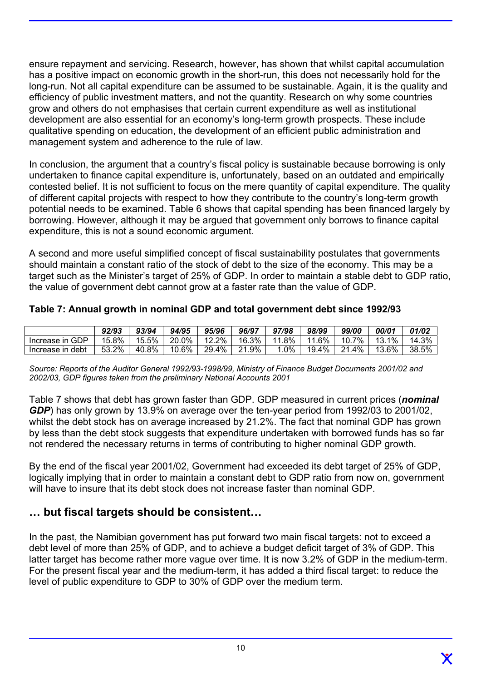ensure repayment and servicing. Research, however, has shown that whilst capital accumulation has a positive impact on economic growth in the short-run, this does not necessarily hold for the long-run. Not all capital expenditure can be assumed to be sustainable. Again, it is the quality and efficiency of public investment matters, and not the quantity. Research on why some countries grow and others do not emphasises that certain current expenditure as well as institutional development are also essential for an economy's long-term growth prospects. These include qualitative spending on education, the development of an efficient public administration and management system and adherence to the rule of law.

In conclusion, the argument that a country's fiscal policy is sustainable because borrowing is only undertaken to finance capital expenditure is, unfortunately, based on an outdated and empirically contested belief. It is not sufficient to focus on the mere quantity of capital expenditure. The quality of different capital projects with respect to how they contribute to the country's long-term growth potential needs to be examined. Table 6 shows that capital spending has been financed largely by borrowing. However, although it may be argued that government only borrows to finance capital expenditure, this is not a sound economic argument.

A second and more useful simplified concept of fiscal sustainability postulates that governments should maintain a constant ratio of the stock of debt to the size of the economy. This may be a target such as the Minister's target of 25% of GDP. In order to maintain a stable debt to GDP ratio, the value of government debt cannot grow at a faster rate than the value of GDP.

| Table 7: Annual growth in nominal GDP and total government debt since 1992/93 |  |  |  |
|-------------------------------------------------------------------------------|--|--|--|
|-------------------------------------------------------------------------------|--|--|--|

|                  | 92/93 | 93/94      | 94/95 | 95/96 | 96/97        | 97/98    | 98/99     | 99/00         | 00/01     | 01/02 |
|------------------|-------|------------|-------|-------|--------------|----------|-----------|---------------|-----------|-------|
| Increase in GDP  | 15.8% | 15.5%      | 20.0% | 12.2% | 16.3%        | 8%<br>11 | .6%<br>11 | 7%<br>10      | 1%<br>13. | 14.3% |
| Increase in debt | 53.2% | .8%<br>40. | 10.6% | 29.4% | $.9\%$<br>21 | $.0\%$   | 4%<br>19. | $.4\%$<br>つ 1 | 13.6%     | 38.5% |

*Source: Reports of the Auditor General 1992/93-1998/99, Ministry of Finance Budget Documents 2001/02 and 2002/03, GDP figures taken from the preliminary National Accounts 2001* 

Table 7 shows that debt has grown faster than GDP. GDP measured in current prices (*nominal GDP*) has only grown by 13.9% on average over the ten-year period from 1992/03 to 2001/02, whilst the debt stock has on average increased by 21.2%. The fact that nominal GDP has grown by less than the debt stock suggests that expenditure undertaken with borrowed funds has so far not rendered the necessary returns in terms of contributing to higher nominal GDP growth.

By the end of the fiscal year 2001/02, Government had exceeded its debt target of 25% of GDP, logically implying that in order to maintain a constant debt to GDP ratio from now on, government will have to insure that its debt stock does not increase faster than nominal GDP.

## **… but fiscal targets should be consistent…**

In the past, the Namibian government has put forward two main fiscal targets: not to exceed a debt level of more than 25% of GDP, and to achieve a budget deficit target of 3% of GDP. This latter target has become rather more vague over time. It is now 3.2% of GDP in the medium-term. For the present fiscal year and the medium-term, it has added a third fiscal target: to reduce the level of public expenditure to GDP to 30% of GDP over the medium term.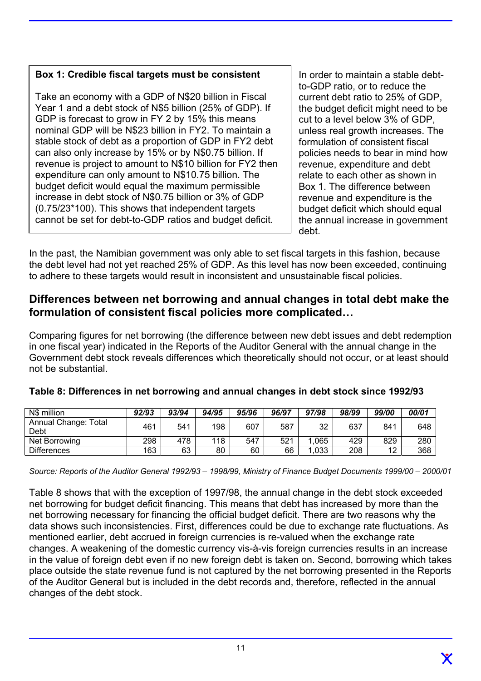### **Box 1: Credible fiscal targets must be consistent**

Take an economy with a GDP of N\$20 billion in Fiscal Year 1 and a debt stock of N\$5 billion (25% of GDP). If GDP is forecast to grow in FY 2 by 15% this means nominal GDP will be N\$23 billion in FY2. To maintain a stable stock of debt as a proportion of GDP in FY2 debt can also only increase by 15% or by N\$0.75 billion. If revenue is project to amount to N\$10 billion for FY2 then expenditure can only amount to N\$10.75 billion. The budget deficit would equal the maximum permissible increase in debt stock of N\$0.75 billion or 3% of GDP (0.75/23\*100). This shows that independent targets cannot be set for debt-to-GDP ratios and budget deficit.

In order to maintain a stable debtto-GDP ratio, or to reduce the current debt ratio to 25% of GDP, the budget deficit might need to be cut to a level below 3% of GDP, unless real growth increases. The formulation of consistent fiscal policies needs to bear in mind how revenue, expenditure and debt relate to each other as shown in Box 1. The difference between revenue and expenditure is the budget deficit which should equal the annual increase in government debt.

In the past, the Namibian government was only able to set fiscal targets in this fashion, because the debt level had not yet reached 25% of GDP. As this level has now been exceeded, continuing to adhere to these targets would result in inconsistent and unsustainable fiscal policies.

### **Differences between net borrowing and annual changes in total debt make the formulation of consistent fiscal policies more complicated…**

Comparing figures for net borrowing (the difference between new debt issues and debt redemption in one fiscal year) indicated in the Reports of the Auditor General with the annual change in the Government debt stock reveals differences which theoretically should not occur, or at least should not be substantial.

| N\$ million                  | 92/93 | 93/94 | 94/95 | 95/96 | 96/97 | 97/98 | 98/99 | 99/00     | 00/01 |
|------------------------------|-------|-------|-------|-------|-------|-------|-------|-----------|-------|
| Annual Change: Total<br>Debt | 461   | 541   | 198   | 607   | 587   | 32    | 637   | 841       | 648   |
| Net Borrowing                | 298   | 478   | 118   | 547   | 521   | .065  | 429   | 829       | 280   |
| <b>Differences</b>           | 163   | 63    | 80    | 60    | 66    | .033  | 208   | 12<br>' 4 | 368   |

#### **Table 8: Differences in net borrowing and annual changes in debt stock since 1992/93**

*Source: Reports of the Auditor General 1992/93 – 1998/99, Ministry of Finance Budget Documents 1999/00 – 2000/01*

Table 8 shows that with the exception of 1997/98, the annual change in the debt stock exceeded net borrowing for budget deficit financing. This means that debt has increased by more than the net borrowing necessary for financing the official budget deficit. There are two reasons why the data shows such inconsistencies. First, differences could be due to exchange rate fluctuations. As mentioned earlier, debt accrued in foreign currencies is re-valued when the exchange rate changes. A weakening of the domestic currency vis-à-vis foreign currencies results in an increase in the value of foreign debt even if no new foreign debt is taken on. Second, borrowing which takes place outside the state revenue fund is not captured by the net borrowing presented in the Reports of the Auditor General but is included in the debt records and, therefore, reflected in the annual changes of the debt stock.

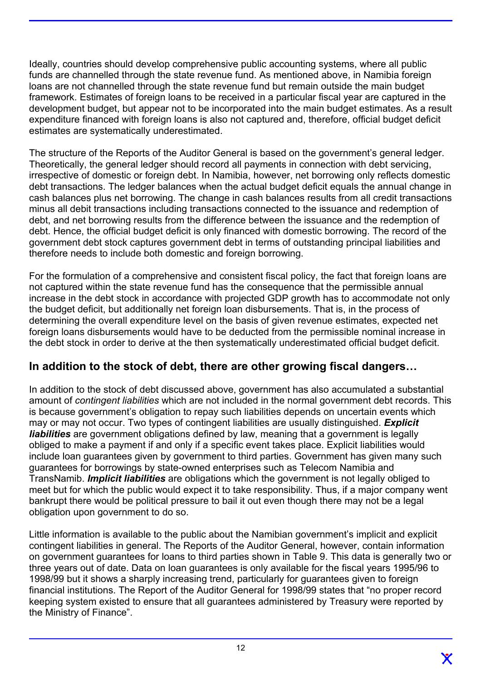Ideally, countries should develop comprehensive public accounting systems, where all public funds are channelled through the state revenue fund. As mentioned above, in Namibia foreign loans are not channelled through the state revenue fund but remain outside the main budget framework. Estimates of foreign loans to be received in a particular fiscal year are captured in the development budget, but appear not to be incorporated into the main budget estimates. As a result expenditure financed with foreign loans is also not captured and, therefore, official budget deficit estimates are systematically underestimated.

The structure of the Reports of the Auditor General is based on the government's general ledger. Theoretically, the general ledger should record all payments in connection with debt servicing, irrespective of domestic or foreign debt. In Namibia, however, net borrowing only reflects domestic debt transactions. The ledger balances when the actual budget deficit equals the annual change in cash balances plus net borrowing. The change in cash balances results from all credit transactions minus all debit transactions including transactions connected to the issuance and redemption of debt, and net borrowing results from the difference between the issuance and the redemption of debt. Hence, the official budget deficit is only financed with domestic borrowing. The record of the government debt stock captures government debt in terms of outstanding principal liabilities and therefore needs to include both domestic and foreign borrowing.

For the formulation of a comprehensive and consistent fiscal policy, the fact that foreign loans are not captured within the state revenue fund has the consequence that the permissible annual increase in the debt stock in accordance with projected GDP growth has to accommodate not only the budget deficit, but additionally net foreign loan disbursements. That is, in the process of determining the overall expenditure level on the basis of given revenue estimates, expected net foreign loans disbursements would have to be deducted from the permissible nominal increase in the debt stock in order to derive at the then systematically underestimated official budget deficit.

## **In addition to the stock of debt, there are other growing fiscal dangers…**

In addition to the stock of debt discussed above, government has also accumulated a substantial amount of *contingent liabilities* which are not included in the normal government debt records. This is because government's obligation to repay such liabilities depends on uncertain events which may or may not occur. Two types of contingent liabilities are usually distinguished. *Explicit liabilities* are government obligations defined by law, meaning that a government is legally obliged to make a payment if and only if a specific event takes place. Explicit liabilities would include loan guarantees given by government to third parties. Government has given many such guarantees for borrowings by state-owned enterprises such as Telecom Namibia and TransNamib. *Implicit liabilities* are obligations which the government is not legally obliged to meet but for which the public would expect it to take responsibility. Thus, if a major company went bankrupt there would be political pressure to bail it out even though there may not be a legal obligation upon government to do so.

Little information is available to the public about the Namibian government's implicit and explicit contingent liabilities in general. The Reports of the Auditor General, however, contain information on government guarantees for loans to third parties shown in Table 9. This data is generally two or three years out of date. Data on loan guarantees is only available for the fiscal years 1995/96 to 1998/99 but it shows a sharply increasing trend, particularly for guarantees given to foreign financial institutions. The Report of the Auditor General for 1998/99 states that "no proper record keeping system existed to ensure that all guarantees administered by Treasury were reported by the Ministry of Finance".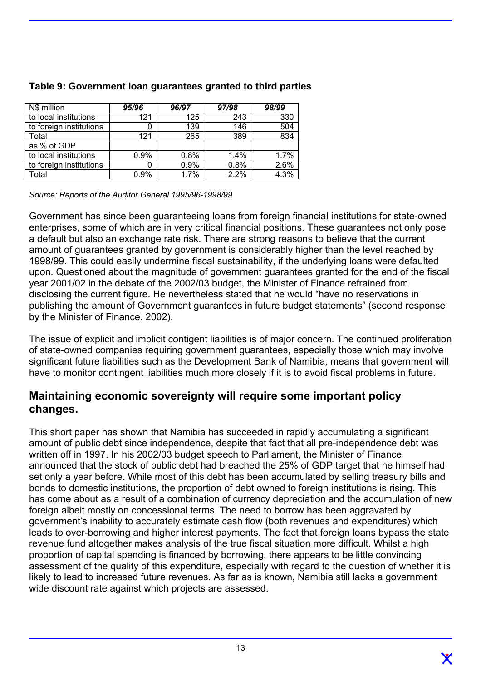| N\$ million             | 95/96 | 96/97 | 97/98 | 98/99 |
|-------------------------|-------|-------|-------|-------|
| to local institutions   | 121   | 125   | 243   | 330   |
| to foreign institutions | 0     | 139   | 146   | 504   |
| Total                   | 121   | 265   | 389   | 834   |
| as % of GDP             |       |       |       |       |
| to local institutions   | 0.9%  | 0.8%  | 1.4%  | 1.7%  |
| to foreign institutions | 0     | 0.9%  | 0.8%  | 2.6%  |
| Total                   | 0.9%  | 1.7%  | 2.2%  | 4.3%  |

#### **Table 9: Government loan guarantees granted to third parties**

*Source: Reports of the Auditor General 1995/96-1998/99* 

Government has since been guaranteeing loans from foreign financial institutions for state-owned enterprises, some of which are in very critical financial positions. These guarantees not only pose a default but also an exchange rate risk. There are strong reasons to believe that the current amount of guarantees granted by government is considerably higher than the level reached by 1998/99. This could easily undermine fiscal sustainability, if the underlying loans were defaulted upon. Questioned about the magnitude of government guarantees granted for the end of the fiscal year 2001/02 in the debate of the 2002/03 budget, the Minister of Finance refrained from disclosing the current figure. He nevertheless stated that he would "have no reservations in publishing the amount of Government guarantees in future budget statements" (second response by the Minister of Finance, 2002).

The issue of explicit and implicit contigent liabilities is of major concern. The continued proliferation of state-owned companies requiring government guarantees, especially those which may involve significant future liabilities such as the Development Bank of Namibia, means that government will have to monitor contingent liabilities much more closely if it is to avoid fiscal problems in future.

### **Maintaining economic sovereignty will require some important policy changes.**

This short paper has shown that Namibia has succeeded in rapidly accumulating a significant amount of public debt since independence, despite that fact that all pre-independence debt was written off in 1997. In his 2002/03 budget speech to Parliament, the Minister of Finance announced that the stock of public debt had breached the 25% of GDP target that he himself had set only a year before. While most of this debt has been accumulated by selling treasury bills and bonds to domestic institutions, the proportion of debt owned to foreign institutions is rising. This has come about as a result of a combination of currency depreciation and the accumulation of new foreign albeit mostly on concessional terms. The need to borrow has been aggravated by government's inability to accurately estimate cash flow (both revenues and expenditures) which leads to over-borrowing and higher interest payments. The fact that foreign loans bypass the state revenue fund altogether makes analysis of the true fiscal situation more difficult. Whilst a high proportion of capital spending is financed by borrowing, there appears to be little convincing assessment of the quality of this expenditure, especially with regard to the question of whether it is likely to lead to increased future revenues. As far as is known, Namibia still lacks a government wide discount rate against which projects are assessed.